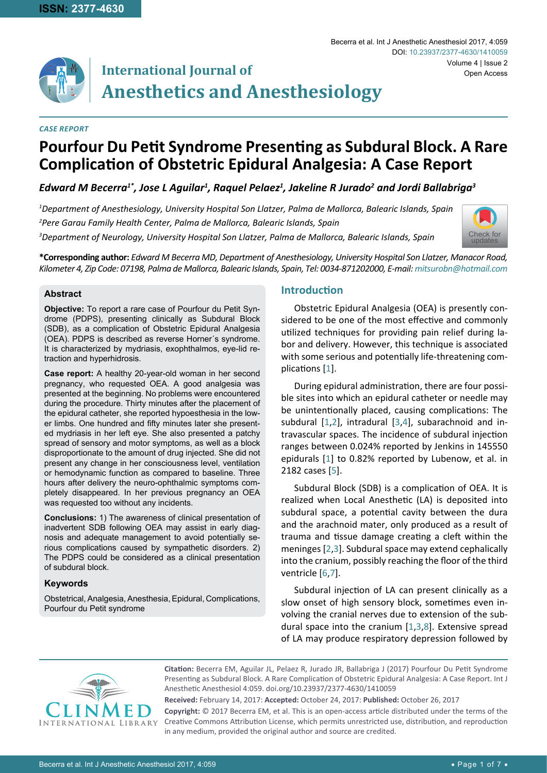

# **International Journal of Anesthetics and Anesthesiology**

#### *Case Report*

## **Pourfour Du Petit Syndrome Presenting as Subdural Block. A Rare Complication of Obstetric Epidural Analgesia: A Case Report**

### *Edward M Becerra1\*, Jose L Aguilar1 , Raquel Pelaez1 , Jakeline R Jurado2 and Jordi Ballabriga3*

*1 Department of Anesthesiology, University Hospital Son Llatzer, Palma de Mallorca, Balearic Islands, Spain 2 Pere Garau Family Health Center, Palma de Mallorca, Balearic Islands, Spain*

*3 Department of Neurology, University Hospital Son Llatzer, Palma de Mallorca, Balearic Islands, Spain*



**\*Corresponding author:** *Edward M Becerra MD, Department of Anesthesiology, University Hospital Son Llatzer, Manacor Road, Kilometer 4, Zip Code: 07198, Palma de Mallorca, Balearic Islands, Spain, Tel: 0034-871202000, E-mail: mitsurobn@hotmail.com*

#### **Abstract**

**Objective:** To report a rare case of Pourfour du Petit Syndrome (PDPS), presenting clinically as Subdural Block (SDB), as a complication of Obstetric Epidural Analgesia (OEA). PDPS is described as reverse Horner´s syndrome. It is characterized by mydriasis, exophthalmos, eye-lid retraction and hyperhidrosis.

**Case report:** A healthy 20-year-old woman in her second pregnancy, who requested OEA. A good analgesia was presented at the beginning. No problems were encountered during the procedure. Thirty minutes after the placement of the epidural catheter, she reported hypoesthesia in the lower limbs. One hundred and fifty minutes later she presented mydriasis in her left eye. She also presented a patchy spread of sensory and motor symptoms, as well as a block disproportionate to the amount of drug injected. She did not present any change in her consciousness level, ventilation or hemodynamic function as compared to baseline. Three hours after delivery the neuro-ophthalmic symptoms completely disappeared. In her previous pregnancy an OEA was requested too without any incidents.

**Conclusions:** 1) The awareness of clinical presentation of inadvertent SDB following OEA may assist in early diagnosis and adequate management to avoid potentially serious complications caused by sympathetic disorders. 2) The PDPS could be considered as a clinical presentation of subdural block.

#### **Keywords**

Obstetrical, Analgesia, Anesthesia, Epidural, Complications, Pourfour du Petit syndrome

#### **Introduction**

Obstetric Epidural Analgesia (OEA) is presently considered to be one of the most effective and commonly utilized techniques for providing pain relief during labor and delivery. However, this technique is associated with some serious and potentially life-threatening complications [[1](#page-4-0)].

During epidural administration, there are four possible sites into which an epidural catheter or needle may be unintentionally placed, causing complications: The subdural [[1](#page-4-0)[,2](#page-4-1)], intradural [[3](#page-4-2),[4\]](#page-4-3), subarachnoid and intravascular spaces. The incidence of subdural injection ranges between 0.024% reported by Jenkins in 145550 epidurals [[1](#page-4-0)] to 0.82% reported by Lubenow, et al. in 2182 cases [[5](#page-4-4)].

Subdural Block (SDB) is a complication of OEA. It is realized when Local Anesthetic (LA) is deposited into subdural space, a potential cavity between the dura and the arachnoid mater, only produced as a result of trauma and tissue damage creating a cleft within the meninges [[2](#page-4-1),[3\]](#page-4-2). Subdural space may extend cephalically into the cranium, possibly reaching the floor of the third ventricle [[6](#page-4-5)[,7](#page-4-6)].

Subdural injection of LA can present clinically as a slow onset of high sensory block, sometimes even involving the cranial nerves due to extension of the subdural space into the cranium [[1](#page-4-0),[3](#page-4-2),[8\]](#page-5-0). Extensive spread of LA may produce respiratory depression followed by



**Citation:** Becerra EM, Aguilar JL, Pelaez R, Jurado JR, Ballabriga J (2017) Pourfour Du Petit Syndrome Presenting as Subdural Block. A Rare Complication of Obstetric Epidural Analgesia: A Case Report. Int J Anesthetic Anesthesiol 4:059. [doi.org/10.23937/2377-4630/1410059](https://doi.org/10.23937/2377-4630/1410059)

**Received:** February 14, 2017: **Accepted:** October 24, 2017: **Published:** October 26, 2017 **Copyright:** © 2017 Becerra EM, et al. This is an open-access article distributed under the terms of the Creative Commons Attribution License, which permits unrestricted use, distribution, and reproduction in any medium, provided the original author and source are credited.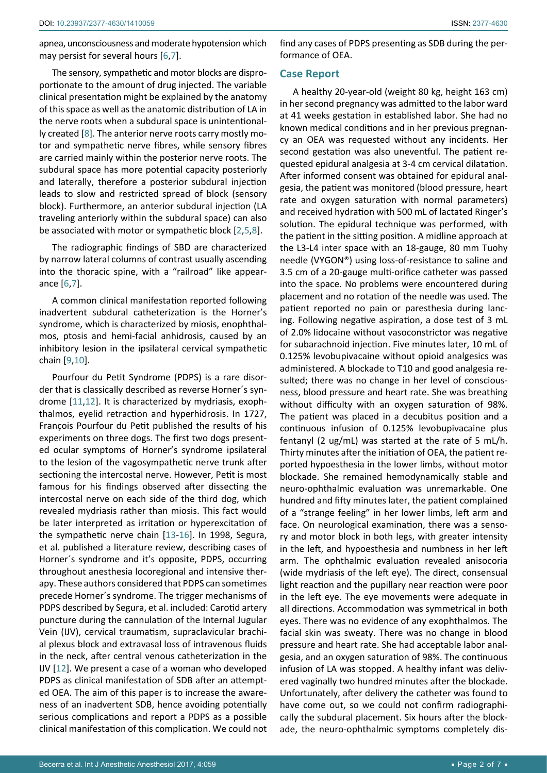apnea, unconsciousness and moderate hypotension which may persist for several hours [[6](#page-4-5),[7](#page-4-6)].

The sensory, sympathetic and motor blocks are disproportionate to the amount of drug injected. The variable clinical presentation might be explained by the anatomy of this space as well as the anatomic distribution of LA in the nerve roots when a subdural space is unintentionally created [[8](#page-5-0)]. The anterior nerve roots carry mostly motor and sympathetic nerve fibres, while sensory fibres are carried mainly within the posterior nerve roots. The subdural space has more potential capacity posteriorly and laterally, therefore a posterior subdural injection leads to slow and restricted spread of block (sensory block). Furthermore, an anterior subdural injection (LA traveling anteriorly within the subdural space) can also be associated with motor or sympathetic block [[2](#page-4-1),[5](#page-4-4),[8\]](#page-5-0).

The radiographic findings of SBD are characterized by narrow lateral columns of contrast usually ascending into the thoracic spine, with a "railroad" like appearance [[6](#page-4-5),[7](#page-4-6)].

A common clinical manifestation reported following inadvertent subdural catheterization is the Horner's syndrome, which is characterized by miosis, enophthalmos, ptosis and hemi-facial anhidrosis, caused by an inhibitory lesion in the ipsilateral cervical sympathetic chain [\[9](#page-5-1),[10](#page-5-2)].

Pourfour du Petit Syndrome (PDPS) is a rare disorder that is classically described as reverse Horner´s syndrome [[11](#page-5-3),[12](#page-5-4)]. It is characterized by mydriasis, exophthalmos, eyelid retraction and hyperhidrosis. In 1727, François Pourfour du Petit published the results of his experiments on three dogs. The first two dogs presented ocular symptoms of Horner's syndrome ipsilateral to the lesion of the vagosympathetic nerve trunk after sectioning the intercostal nerve. However, Petit is most famous for his findings observed after dissecting the intercostal nerve on each side of the third dog, which revealed mydriasis rather than miosis. This fact would be later interpreted as irritation or hyperexcitation of the sympathetic nerve chain [\[13-](#page-5-5)[16](#page-5-6)]. In 1998, Segura, et al. published a literature review, describing cases of Horner´s syndrome and it's opposite, PDPS, occurring throughout anesthesia locoregional and intensive therapy. These authors considered that PDPS can sometimes precede Horner´s syndrome. The trigger mechanisms of PDPS described by Segura, et al. included: Carotid artery puncture during the cannulation of the Internal Jugular Vein (IJV), cervical traumatism, supraclavicular brachial plexus block and extravasal loss of intravenous fluids in the neck, after central venous catheterization in the IJV [[12](#page-5-4)]. We present a case of a woman who developed PDPS as clinical manifestation of SDB after an attempted OEA. The aim of this paper is to increase the awareness of an inadvertent SDB, hence avoiding potentially serious complications and report a PDPS as a possible clinical manifestation of this complication. We could not

find any cases of PDPS presenting as SDB during the performance of OEA.

#### **Case Report**

A healthy 20-year-old (weight 80 kg, height 163 cm) in her second pregnancy was admitted to the labor ward at 41 weeks gestation in established labor. She had no known medical conditions and in her previous pregnancy an OEA was requested without any incidents. Her second gestation was also uneventful. The patient requested epidural analgesia at 3-4 cm cervical dilatation. After informed consent was obtained for epidural analgesia, the patient was monitored (blood pressure, heart rate and oxygen saturation with normal parameters) and received hydration with 500 mL of lactated Ringer's solution. The epidural technique was performed, with the patient in the sitting position. A midline approach at the L3-L4 inter space with an 18-gauge, 80 mm Tuohy needle (VYGON®) using loss-of-resistance to saline and 3.5 cm of a 20-gauge multi-orifice catheter was passed into the space. No problems were encountered during placement and no rotation of the needle was used. The patient reported no pain or paresthesia during lancing. Following negative aspiration, a dose test of 3 mL of 2.0% lidocaine without vasoconstrictor was negative for subarachnoid injection. Five minutes later, 10 mL of 0.125% levobupivacaine without opioid analgesics was administered. A blockade to T10 and good analgesia resulted; there was no change in her level of consciousness, blood pressure and heart rate. She was breathing without difficulty with an oxygen saturation of 98%. The patient was placed in a decubitus position and a continuous infusion of 0.125% levobupivacaine plus fentanyl (2 ug/mL) was started at the rate of 5 mL/h. Thirty minutes after the initiation of OEA, the patient reported hypoesthesia in the lower limbs, without motor blockade. She remained hemodynamically stable and neuro-ophthalmic evaluation was unremarkable. One hundred and fifty minutes later, the patient complained of a "strange feeling" in her lower limbs, left arm and face. On neurological examination, there was a sensory and motor block in both legs, with greater intensity in the left, and hypoesthesia and numbness in her left arm. The ophthalmic evaluation revealed anisocoria (wide mydriasis of the left eye). The direct, consensual light reaction and the pupillary near reaction were poor in the left eye. The eye movements were adequate in all directions. Accommodation was symmetrical in both eyes. There was no evidence of any exophthalmos. The facial skin was sweaty. There was no change in blood pressure and heart rate. She had acceptable labor analgesia, and an oxygen saturation of 98%. The continuous infusion of LA was stopped. A healthy infant was delivered vaginally two hundred minutes after the blockade. Unfortunately, after delivery the catheter was found to have come out, so we could not confirm radiographically the subdural placement. Six hours after the blockade, the neuro-ophthalmic symptoms completely dis-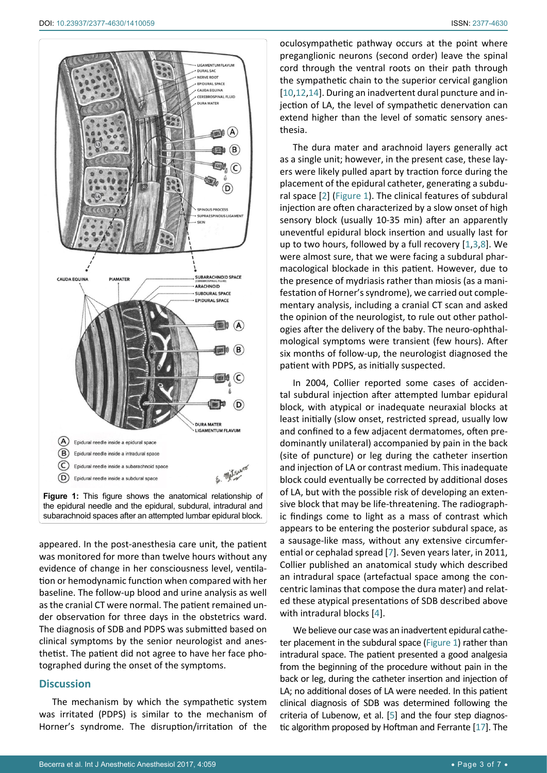<span id="page-2-0"></span>

appeared. In the post-anesthesia care unit, the patient was monitored for more than twelve hours without any evidence of change in her consciousness level, ventilation or hemodynamic function when compared with her baseline. The follow-up blood and urine analysis as well as the cranial CT were normal. The patient remained under observation for three days in the obstetrics ward. The diagnosis of SDB and PDPS was submitted based on clinical symptoms by the senior neurologist and anesthetist. The patient did not agree to have her face photographed during the onset of the symptoms.

#### **Discussion**

The mechanism by which the sympathetic system was irritated (PDPS) is similar to the mechanism of Horner's syndrome. The disruption/irritation of the oculosympathetic pathway occurs at the point where preganglionic neurons (second order) leave the spinal cord through the ventral roots on their path through the sympathetic chain to the superior cervical ganglion [[10](#page-5-2)[,12](#page-5-4),[14](#page-5-7)]. During an inadvertent dural puncture and injection of LA, the level of sympathetic denervation can extend higher than the level of somatic sensory anesthesia.

The dura mater and arachnoid layers generally act as a single unit; however, in the present case, these layers were likely pulled apart by traction force during the placement of the epidural catheter, generating a subdural space [[2\]](#page-4-1) [\(Figure 1](#page-2-0)). The clinical features of subdural injection are often characterized by a slow onset of high sensory block (usually 10-35 min) after an apparently uneventful epidural block insertion and usually last for up to two hours, followed by a full recovery [[1](#page-4-0),[3](#page-4-2),[8\]](#page-5-0). We were almost sure, that we were facing a subdural pharmacological blockade in this patient. However, due to the presence of mydriasis rather than miosis (as a manifestation of Horner's syndrome), we carried out complementary analysis, including a cranial CT scan and asked the opinion of the neurologist, to rule out other pathologies after the delivery of the baby. The neuro-ophthalmological symptoms were transient (few hours). After six months of follow-up, the neurologist diagnosed the patient with PDPS, as initially suspected.

In 2004, Collier reported some cases of accidental subdural injection after attempted lumbar epidural block, with atypical or inadequate neuraxial blocks at least initially (slow onset, restricted spread, usually low and confined to a few adjacent dermatomes, often predominantly unilateral) accompanied by pain in the back (site of puncture) or leg during the catheter insertion and injection of LA or contrast medium. This inadequate block could eventually be corrected by additional doses of LA, but with the possible risk of developing an extensive block that may be life-threatening. The radiographic findings come to light as a mass of contrast which appears to be entering the posterior subdural space, as a sausage-like mass, without any extensive circumferential or cephalad spread [[7](#page-4-6)]. Seven years later, in 2011, Collier published an anatomical study which described an intradural space (artefactual space among the concentric laminas that compose the dura mater) and related these atypical presentations of SDB described above with intradural blocks [[4](#page-4-3)].

We believe our case was an inadvertent epidural catheter placement in the subdural space ([Figure 1](#page-2-0)) rather than intradural space. The patient presented a good analgesia from the beginning of the procedure without pain in the back or leg, during the catheter insertion and injection of LA; no additional doses of LA were needed. In this patient clinical diagnosis of SDB was determined following the criteria of Lubenow, et al. [\[5\]](#page-4-4) and the four step diagnostic algorithm proposed by Hoftman and Ferrante [[17](#page-5-8)]. The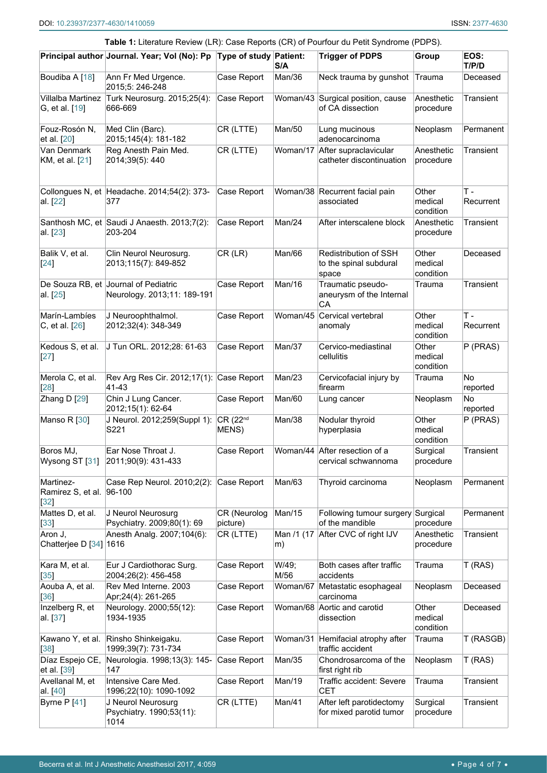<span id="page-3-0"></span>

| Table 1: Literature Review (LR): Case Reports (CR) of Pourfour du Petit Syndrome (PDPS). |                                                                     |                               |                  |                                                            |                               |                    |  |  |  |  |
|------------------------------------------------------------------------------------------|---------------------------------------------------------------------|-------------------------------|------------------|------------------------------------------------------------|-------------------------------|--------------------|--|--|--|--|
|                                                                                          | Principal author Journal. Year; Vol (No): Pp Type of study Patient: |                               | S/A              | <b>Trigger of PDPS</b>                                     | Group                         | EOS:<br>T/P/D      |  |  |  |  |
| Boudiba A [18]                                                                           | Ann Fr Med Urgence.<br>2015;5: 246-248                              | Case Report                   | Man/36           | Neck trauma by gunshot                                     | Trauma                        | Deceased           |  |  |  |  |
| Villalba Martinez<br>G, et al. [19]                                                      | Turk Neurosurg. 2015;25(4):<br>666-669                              | Case Report                   |                  | Woman/43 Surgical position, cause<br>of CA dissection      | Anesthetic<br>procedure       | Transient          |  |  |  |  |
| Fouz-Rosón N,<br>et al. [20]                                                             | Med Clin (Barc).<br>2015;145(4): 181-182                            | CR (LTTE)                     | Man/50           | Lung mucinous<br>adenocarcinoma                            | Neoplasm                      | Permanent          |  |  |  |  |
| Van Denmark<br>KM, et al. [21]                                                           | Reg Anesth Pain Med.<br>2014;39(5): 440                             | CR (LTTE)                     |                  | Woman/17 After supraclavicular<br>catheter discontinuation | Anesthetic<br>procedure       | Transient          |  |  |  |  |
| al. [22]                                                                                 | Collongues N, et Headache. 2014;54(2): 373-<br>377                  | Case Report                   |                  | Woman/38 Recurrent facial pain<br>associated               | Other<br>medical<br>condition | $T -$<br>Recurrent |  |  |  |  |
| al. [23]                                                                                 | Santhosh MC, et Saudi J Anaesth. 2013;7(2):<br>203-204              | Case Report                   | Man/24           | After interscalene block                                   | Anesthetic<br>procedure       | Transient          |  |  |  |  |
| Balik V, et al.<br>$[24]$                                                                | Clin Neurol Neurosurg.<br>2013;115(7): 849-852                      | $CR$ ( $LR$ )                 | Man/66           | Redistribution of SSH<br>to the spinal subdural<br>space   | Other<br>medical<br>condition | Deceased           |  |  |  |  |
| al. [25]                                                                                 | De Souza RB, et Journal of Pediatric<br>Neurology. 2013;11: 189-191 | Case Report                   | Man/16           | Traumatic pseudo-<br>aneurysm of the Internal<br>CA        | Trauma                        | Transient          |  |  |  |  |
| Marín-Lambíes<br>C, et al. [26]                                                          | J Neuroophthalmol.<br>2012;32(4): 348-349                           | Case Report                   | Woman/45         | Cervical vertebral<br>anomaly                              | Other<br>medical<br>condition | $T -$<br>Recurrent |  |  |  |  |
| Kedous S, et al.<br>[27]                                                                 | J Tun ORL. 2012;28: 61-63                                           | Case Report                   | Man/37           | Cervico-mediastinal<br>cellulitis                          | Other<br>medical<br>condition | P (PRAS)           |  |  |  |  |
| Merola C, et al.<br>[28]                                                                 | Rev Arg Res Cir. 2012;17(1):<br>41-43                               | Case Report                   | Man/23           | Cervicofacial injury by<br>firearm                         | Trauma                        | No.<br>reported    |  |  |  |  |
| Zhang D [29]                                                                             | Chin J Lung Cancer.<br>2012;15(1): 62-64                            | Case Report                   | Man/60           | Lung cancer                                                | Neoplasm                      | No.<br>reported    |  |  |  |  |
| Manso R [30]                                                                             | J Neurol. 2012;259(Suppl 1):<br>S221                                | CR (22 <sup>nd</sup><br>MENS) | Man/38           | Nodular thyroid<br>hyperplasia                             | Other<br>medical<br>condition | P (PRAS)           |  |  |  |  |
| Boros MJ,<br>Wysong ST [31]                                                              | Ear Nose Throat J.<br>2011;90(9): 431-433                           | Case Report                   |                  | Woman/44 After resection of a<br>cervical schwannoma       | Surgical<br>procedure         | Transient          |  |  |  |  |
| Martinez-<br>Ramirez S, et al.<br>$[32]$                                                 | Case Rep Neurol. 2010;2(2):<br>$ 96-100$                            | Case Report                   | Man/63           | Thyroid carcinoma                                          | Neoplasm                      | Permanent          |  |  |  |  |
| Mattes D, et al.<br>$[33]$                                                               | J Neurol Neurosurg<br>Psychiatry. 2009;80(1): 69                    | CR (Neurolog<br>picture)      | Man/15           | Following tumour surgery Surgical<br>of the mandible       | procedure                     | Permanent          |  |  |  |  |
| Aron J,<br>Chatterjee D [34] 1616                                                        | Anesth Analg. 2007;104(6):                                          | CR (LTTE)                     | Man /1 (17<br>m) | After CVC of right IJV                                     | Anesthetic<br>procedure       | Transient          |  |  |  |  |
| Kara M, et al.<br>$[35]$                                                                 | Eur J Cardiothorac Surg.<br>2004;26(2): 456-458                     | Case Report                   | W/49;<br>M/56    | Both cases after traffic<br>accidents                      | Trauma                        | T(RAS)             |  |  |  |  |
| Aouba A, et al.<br>36                                                                    | Rev Med Interne. 2003<br>Apr;24(4): 261-265                         | Case Report                   | Woman/67         | Metastatic esophageal<br>carcinoma                         | Neoplasm                      | Deceased           |  |  |  |  |
| Inzelberg R, et<br>al. [37]                                                              | Neurology. 2000;55(12):<br>1934-1935                                | Case Report                   |                  | Woman/68 Aortic and carotid<br>dissection                  | Other<br>medical<br>condition | Deceased           |  |  |  |  |
| Kawano Y, et al.<br>[38]                                                                 | Rinsho Shinkeigaku.<br>1999;39(7): 731-734                          | Case Report                   | Woman/31         | Hemifacial atrophy after<br>traffic accident               | Trauma                        | T (RASGB)          |  |  |  |  |
| Díaz Espejo CE,<br>et al. [39]                                                           | Neurologia. 1998;13(3): 145-<br>147                                 | Case Report                   | Man/35           | Chondrosarcoma of the<br>first right rib                   | Neoplasm                      | T (RAS)            |  |  |  |  |
| Avellanal M, et<br>al. [40]                                                              | Intensive Care Med.<br>1996;22(10): 1090-1092                       | Case Report                   | Man/19           | Traffic accident: Severe<br><b>CET</b>                     | Trauma                        | Transient          |  |  |  |  |
| Byrne $P$ [41]                                                                           | J Neurol Neurosurg<br>Psychiatry. 1990;53(11):<br>1014              | CR (LTTE)                     | Man/41           | After left parotidectomy<br>for mixed parotid tumor        | Surgical<br>procedure         | Transient          |  |  |  |  |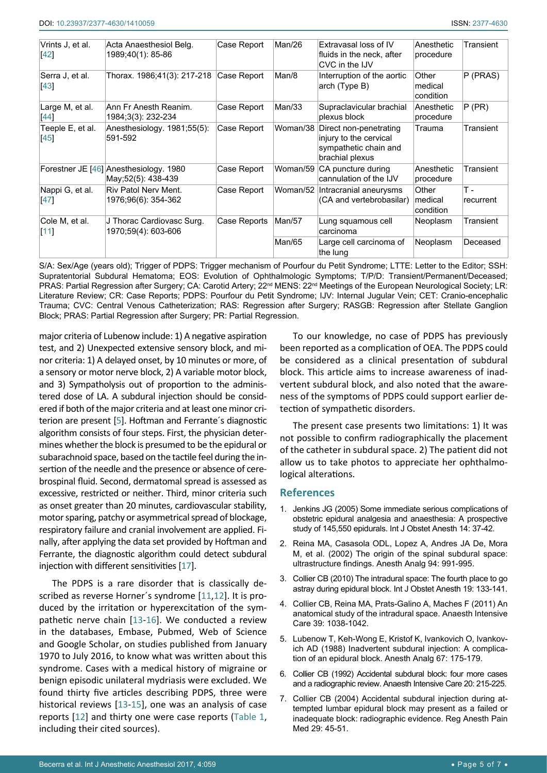| Vrints J, et al.<br>[42]  | Acta Anaesthesiol Belg.<br>1989;40(1): 85-86                 | Case Report  | Man/26   | Extravasal loss of IV<br>fluids in the neck, after<br>CVC in the IJV                         | Anesthetic<br>procedure       | Transient          |
|---------------------------|--------------------------------------------------------------|--------------|----------|----------------------------------------------------------------------------------------------|-------------------------------|--------------------|
| Serra J, et al.<br>$[43]$ | Thorax. 1986;41(3): 217-218 Case Report                      |              | Man/8    | Interruption of the aortic<br>arch (Type B)                                                  | Other<br>medical<br>condition | P (PRAS)           |
| Large M, et al.<br>$[44]$ | Ann Fr Anesth Reanim.<br>1984;3(3): 232-234                  | Case Report  | Man/33   | Supraclavicular brachial<br>plexus block                                                     | Anesthetic<br>procedure       | P (PR)             |
| Teeple E, et al.<br>[45]  | Anesthesiology. 1981;55(5):<br>591-592                       | Case Report  | Woman/38 | Direct non-penetrating<br>injury to the cervical<br>sympathetic chain and<br>brachial plexus | Trauma                        | Transient          |
|                           | Forestner JE [46] Anesthesiology. 1980<br>May:52(5): 438-439 | Case Report  | Woman/59 | CA puncture during<br>cannulation of the IJV                                                 | Anesthetic<br>procedure       | Transient          |
| Nappi G, et al.<br>[47]   | <b>Riv Patol Nerv Ment.</b><br>1976;96(6): 354-362           | Case Report  | Woman/52 | Intracranial aneurysms<br>(CA and vertebrobasilar)                                           | Other<br>medical<br>condition | $T -$<br>recurrent |
| Cole M, et al.<br>[11]    | J Thorac Cardiovasc Surg.<br>1970;59(4): 603-606             | Case Reports | Man/57   | Lung squamous cell<br>carcinoma                                                              | Neoplasm                      | Transient          |
|                           |                                                              |              | Man/65   | Large cell carcinoma of<br>the lung                                                          | Neoplasm                      | Deceased           |

S/A: Sex/Age (years old); Trigger of PDPS: Trigger mechanism of Pourfour du Petit Syndrome; LTTE: Letter to the Editor; SSH: Supratentorial Subdural Hematoma; EOS: Evolution of Ophthalmologic Symptoms; T/P/D: Transient/Permanent/Deceased; PRAS: Partial Regression after Surgery; CA: Carotid Artery; 22<sup>nd</sup> MENS: 22<sup>nd</sup> Meetings of the European Neurological Society; LR: Literature Review; CR: Case Reports; PDPS: Pourfour du Petit Syndrome; IJV: Internal Jugular Vein; CET: Cranio-encephalic Trauma; CVC: Central Venous Catheterization; RAS: Regression after Surgery; RASGB: Regression after Stellate Ganglion Block; PRAS: Partial Regression after Surgery; PR: Partial Regression.

major criteria of Lubenow include: 1) A negative aspiration test, and 2) Unexpected extensive sensory block, and minor criteria: 1) A delayed onset, by 10 minutes or more, of a sensory or motor nerve block, 2) A variable motor block, and 3) Sympatholysis out of proportion to the administered dose of LA. A subdural injection should be considered if both of the major criteria and at least one minor criterion are present [[5](#page-4-4)]. Hoftman and Ferrante´s diagnostic algorithm consists of four steps. First, the physician determines whether the block is presumed to be the epidural or subarachnoid space, based on the tactile feel during the insertion of the needle and the presence or absence of cerebrospinal fluid. Second, dermatomal spread is assessed as excessive, restricted or neither. Third, minor criteria such as onset greater than 20 minutes, cardiovascular stability, motor sparing, patchy or asymmetrical spread of blockage, respiratory failure and cranial involvement are applied. Finally, after applying the data set provided by Hoftman and Ferrante, the diagnostic algorithm could detect subdural injection with different sensitivities [[17](#page-5-8)].

The PDPS is a rare disorder that is classically described as reverse Horner´s syndrome [[11](#page-5-3),[12](#page-5-4)]. It is produced by the irritation or hyperexcitation of the sympathetic nerve chain [[13-](#page-5-5)[16](#page-5-6)]. We conducted a review in the databases, Embase, Pubmed, Web of Science and Google Scholar, on studies published from January 1970 to July 2016, to know what was written about this syndrome. Cases with a medical history of migraine or benign episodic unilateral mydriasis were excluded. We found thirty five articles describing PDPS, three were historical reviews [\[13](#page-5-5)-[15\]](#page-5-33), one was an analysis of case reports [[12](#page-5-4)] and thirty one were case reports ([Table 1](#page-3-0), including their cited sources).

To our knowledge, no case of PDPS has previously been reported as a complication of OEA. The PDPS could be considered as a clinical presentation of subdural block. This article aims to increase awareness of inadvertent subdural block, and also noted that the awareness of the symptoms of PDPS could support earlier detection of sympathetic disorders.

The present case presents two limitations: 1) It was not possible to confirm radiographically the placement of the catheter in subdural space. 2) The patient did not allow us to take photos to appreciate her ophthalmological alterations.

#### **References**

- <span id="page-4-0"></span>1. [Jenkins JG \(2005\) Some immediate serious complications of](https://www.ncbi.nlm.nih.gov/pubmed/15627537)  [obstetric epidural analgesia and anaesthesia: A prospective](https://www.ncbi.nlm.nih.gov/pubmed/15627537)  [study of 145,550 epidurals. Int J Obstet Anesth 14: 37-42.](https://www.ncbi.nlm.nih.gov/pubmed/15627537)
- <span id="page-4-1"></span>2. [Reina MA, Casasola ODL, Lopez A, Andres JA De, Mora](https://www.ncbi.nlm.nih.gov/pubmed/11916810)  [M, et al. \(2002\) The origin of the spinal subdural space:](https://www.ncbi.nlm.nih.gov/pubmed/11916810)  [ultrastructure findings. Anesth Analg 94: 991-995.](https://www.ncbi.nlm.nih.gov/pubmed/11916810)
- <span id="page-4-2"></span>3. [Collier CB \(2010\) The intradural space: The fourth place to go](https://www.ncbi.nlm.nih.gov/pubmed/19945856)  [astray during epidural block. Int J Obstet Anesth 19: 133-141.](https://www.ncbi.nlm.nih.gov/pubmed/19945856)
- <span id="page-4-3"></span>4. [Collier CB, Reina MA, Prats-Galino A, Maches F \(2011\) An](https://www.ncbi.nlm.nih.gov/pubmed/22165355)  [anatomical study of the intradural space. Anaesth Intensive](https://www.ncbi.nlm.nih.gov/pubmed/22165355)  [Care 39: 1038-1042.](https://www.ncbi.nlm.nih.gov/pubmed/22165355)
- <span id="page-4-4"></span>5. [Lubenow T, Keh-Wong E, Kristof K, Ivankovich O, Ivankov](https://www.ncbi.nlm.nih.gov/pubmed/3341567)[ich AD \(1988\) Inadvertent subdural injection: A complica](https://www.ncbi.nlm.nih.gov/pubmed/3341567)[tion of an epidural block. Anesth Analg 67: 175-179.](https://www.ncbi.nlm.nih.gov/pubmed/3341567)
- <span id="page-4-5"></span>6. [Collier CB \(1992\) Accidental subdural block: four more cases](https://www.ncbi.nlm.nih.gov/pubmed/1317680)  [and a radiographic review. Anaesth Intensive Care 20: 215-225.](https://www.ncbi.nlm.nih.gov/pubmed/1317680)
- <span id="page-4-6"></span>7. [Collier CB \(2004\) Accidental subdural injection during at](https://www.ncbi.nlm.nih.gov/pubmed/14727278)[tempted lumbar epidural block may present as a failed or](https://www.ncbi.nlm.nih.gov/pubmed/14727278)  [inadequate block: radiographic evidence. Reg Anesth Pain](https://www.ncbi.nlm.nih.gov/pubmed/14727278)  [Med 29: 45-51.](https://www.ncbi.nlm.nih.gov/pubmed/14727278)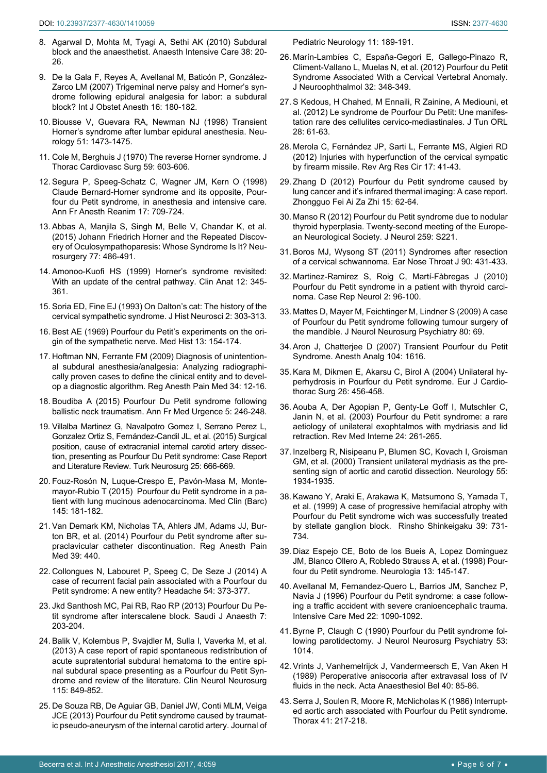- <span id="page-5-0"></span>8. [Agarwal D, Mohta M, Tyagi A, Sethi AK \(2010\) Subdural](https://www.ncbi.nlm.nih.gov/pubmed/20191772)  [block and the anaesthetist. Anaesth Intensive Care 38: 20-](https://www.ncbi.nlm.nih.gov/pubmed/20191772) [26.](https://www.ncbi.nlm.nih.gov/pubmed/20191772)
- <span id="page-5-1"></span>9. [De la Gala F, Reyes A, Avellanal M, Baticón P, González-](https://www.ncbi.nlm.nih.gov/pubmed/17270429)[Zarco LM \(2007\) Trigeminal nerve palsy and Horner's syn](https://www.ncbi.nlm.nih.gov/pubmed/17270429)[drome following epidural analgesia for labor: a subdural](https://www.ncbi.nlm.nih.gov/pubmed/17270429)  [block? Int J Obstet Anesth 16: 180-182.](https://www.ncbi.nlm.nih.gov/pubmed/17270429)
- <span id="page-5-2"></span>10. [Biousse V, Guevara RA, Newman NJ \(1998\) Transient](https://www.ncbi.nlm.nih.gov/pubmed/9818887)  [Horner's syndrome after lumbar epidural anesthesia. Neu](https://www.ncbi.nlm.nih.gov/pubmed/9818887)[rology 51: 1473-1475.](https://www.ncbi.nlm.nih.gov/pubmed/9818887)
- <span id="page-5-3"></span>11. [Cole M, Berghuis J \(1970\) The reverse Horner syndrome. J](https://www.ncbi.nlm.nih.gov/pubmed/5439369)  [Thorac Cardiovasc Surg 59: 603-606.](https://www.ncbi.nlm.nih.gov/pubmed/5439369)
- <span id="page-5-4"></span>12. [Segura P, Speeg-Schatz C, Wagner JM, Kern O \(1998\)](https://www.ncbi.nlm.nih.gov/pubmed/9750809)  [Claude Bernard-Horner syndrome and its opposite, Pour](https://www.ncbi.nlm.nih.gov/pubmed/9750809)[four du Petit syndrome, in anesthesia and intensive care.](https://www.ncbi.nlm.nih.gov/pubmed/9750809)  [Ann Fr Anesth Reanim 17: 709-724.](https://www.ncbi.nlm.nih.gov/pubmed/9750809)
- <span id="page-5-5"></span>13. [Abbas A, Manjila S, Singh M, Belle V, Chandar K, et al.](https://www.ncbi.nlm.nih.gov/pubmed/26280826)  [\(2015\) Johann Friedrich Horner and the Repeated Discov](https://www.ncbi.nlm.nih.gov/pubmed/26280826)[ery of Oculosympathoparesis: Whose Syndrome Is It? Neu](https://www.ncbi.nlm.nih.gov/pubmed/26280826)[rosurgery 77: 486-491.](https://www.ncbi.nlm.nih.gov/pubmed/26280826)
- <span id="page-5-7"></span>14. [Amonoo-Kuofi HS \(1999\) Horner's syndrome revisited:](https://www.ncbi.nlm.nih.gov/pubmed/10462732)  [With an update of the central pathway. Clin Anat 12: 345-](https://www.ncbi.nlm.nih.gov/pubmed/10462732) [361.](https://www.ncbi.nlm.nih.gov/pubmed/10462732)
- <span id="page-5-33"></span>15. [Soria ED, Fine EJ \(1993\) On Dalton's cat: The history of the](https://www.ncbi.nlm.nih.gov/pubmed/11618463)  [cervical sympathetic syndrome. J Hist Neurosci 2: 303-313.](https://www.ncbi.nlm.nih.gov/pubmed/11618463)
- <span id="page-5-6"></span>16. [Best AE \(1969\) Pourfour du Petit's experiments on the ori](https://www.ncbi.nlm.nih.gov/pubmed/4890046)[gin of the sympathetic nerve. Med Hist 13: 154-174.](https://www.ncbi.nlm.nih.gov/pubmed/4890046)
- <span id="page-5-8"></span>17. [Hoftman NN, Ferrante FM \(2009\) Diagnosis of unintention](https://www.ncbi.nlm.nih.gov/pubmed/19258982)[al subdural anesthesia/analgesia: Analyzing radiographi](https://www.ncbi.nlm.nih.gov/pubmed/19258982)[cally proven cases to define the clinical entity and to devel](https://www.ncbi.nlm.nih.gov/pubmed/19258982)[op a diagnostic algorithm. Reg Anesth Pain Med 34: 12-16.](https://www.ncbi.nlm.nih.gov/pubmed/19258982)
- <span id="page-5-9"></span>18. [Boudiba A \(2015\) Pourfour Du Petit syndrome following](https://link.springer.com/article/10.1007/s13341-015-0552-5)  [ballistic neck traumatism. Ann Fr Med Urgence 5: 246-248.](https://link.springer.com/article/10.1007/s13341-015-0552-5)
- <span id="page-5-10"></span>19. [Villalba Martinez G, Navalpotro Gomez I, Serrano Perez L,](https://www.ncbi.nlm.nih.gov/pubmed/26242349)  [Gonzalez Ortiz S, Fernández-Candil JL, et al. \(2015\) Surgical](https://www.ncbi.nlm.nih.gov/pubmed/26242349)  [position, cause of extracranial internal carotid artery dissec](https://www.ncbi.nlm.nih.gov/pubmed/26242349)[tion, presenting as Pourfour Du Petit syndrome: Case Report](https://www.ncbi.nlm.nih.gov/pubmed/26242349)  [and Literature Review. Turk Neurosurg 25: 666-669.](https://www.ncbi.nlm.nih.gov/pubmed/26242349)
- <span id="page-5-11"></span>20. [Fouz-Rosón N, Luque-Crespo E, Pavón-Masa M, Monte](https://www.ncbi.nlm.nih.gov/pubmed/25702283)[mayor-Rubio T \(2015\) Pourfour du Petit syndrome in a pa](https://www.ncbi.nlm.nih.gov/pubmed/25702283)[tient with lung mucinous adenocarcinoma. Med Clin \(Barc\)](https://www.ncbi.nlm.nih.gov/pubmed/25702283)  [145: 181-182.](https://www.ncbi.nlm.nih.gov/pubmed/25702283)
- <span id="page-5-12"></span>21. [Van Demark KM, Nicholas TA, Ahlers JM, Adams JJ, Bur](https://www.ncbi.nlm.nih.gov/pubmed/25140511)[ton BR, et al. \(2014\) Pourfour du Petit syndrome after su](https://www.ncbi.nlm.nih.gov/pubmed/25140511)[praclavicular catheter discontinuation. Reg Anesth Pain](https://www.ncbi.nlm.nih.gov/pubmed/25140511)  [Med 39: 440.](https://www.ncbi.nlm.nih.gov/pubmed/25140511)
- <span id="page-5-13"></span>22. [Collongues N, Labouret P, Speeg C, De Seze J \(2014\) A](https://www.ncbi.nlm.nih.gov/pubmed/23700978)  [case of recurrent facial pain associated with a Pourfour du](https://www.ncbi.nlm.nih.gov/pubmed/23700978)  [Petit syndrome: A new entity? Headache 54: 373-377.](https://www.ncbi.nlm.nih.gov/pubmed/23700978)
- <span id="page-5-14"></span>23. [Jkd Santhosh MC, Pai RB, Rao RP \(2013\) Pourfour Du Pe](https://www.ncbi.nlm.nih.gov/pmc/articles/PMC3737702/)[tit syndrome after interscalene block. Saudi J Anaesth 7:](https://www.ncbi.nlm.nih.gov/pmc/articles/PMC3737702/)  [203-204.](https://www.ncbi.nlm.nih.gov/pmc/articles/PMC3737702/)
- <span id="page-5-15"></span>24. [Balik V, Kolembus P, Svajdler M, Sulla I, Vaverka M, et al.](http://www.sciencedirect.com/science/article/pii/S0303846712004854)  [\(2013\) A case report of rapid spontaneous redistribution of](http://www.sciencedirect.com/science/article/pii/S0303846712004854)  [acute supratentorial subdural hematoma to the entire spi](http://www.sciencedirect.com/science/article/pii/S0303846712004854)[nal subdural space presenting as a Pourfour du Petit Syn](http://www.sciencedirect.com/science/article/pii/S0303846712004854)[drome and review of the literature. Clin Neurol Neurosurg](http://www.sciencedirect.com/science/article/pii/S0303846712004854)  [115: 849-852.](http://www.sciencedirect.com/science/article/pii/S0303846712004854)
- <span id="page-5-16"></span>25. [De Souza RB, De Aguiar GB, Daniel JW, Conti MLM, Veiga](http://content.iospress.com/articles/journal-of-pediatric-neurology/jpn00615)  [JCE \(2013\) Pourfour du Petit syndrome caused by traumat](http://content.iospress.com/articles/journal-of-pediatric-neurology/jpn00615)[ic pseudo-aneurysm of the internal carotid artery. Journal of](http://content.iospress.com/articles/journal-of-pediatric-neurology/jpn00615)

<span id="page-5-17"></span>[Pediatric Neurology 11: 189-191.](http://content.iospress.com/articles/journal-of-pediatric-neurology/jpn00615)

- 26. [Marín-Lambíes C, España-Gegori E, Gallego-Pinazo R,](https://www.ncbi.nlm.nih.gov/pubmed/22801354)  [Climent-Vallano L, Muelas N, et al. \(2012\) Pourfour du Petit](https://www.ncbi.nlm.nih.gov/pubmed/22801354)  [Syndrome Associated With a Cervical Vertebral Anomaly.](https://www.ncbi.nlm.nih.gov/pubmed/22801354)  [J Neuroophthalmol 32: 348-349.](https://www.ncbi.nlm.nih.gov/pubmed/22801354)
- <span id="page-5-18"></span>27. [S Kedous, H Chahed, M Ennaili, R Zainine, A Mediouni, et](https://www.ajol.info/index.php/jtdorl/article/view/114338)  [al. \(2012\) Le syndrome de Pourfour Du Petit: Une manifes](https://www.ajol.info/index.php/jtdorl/article/view/114338)[tation rare des cellulites cervico-mediastinales. J Tun ORL](https://www.ajol.info/index.php/jtdorl/article/view/114338)  [28: 61-63.](https://www.ajol.info/index.php/jtdorl/article/view/114338)
- <span id="page-5-19"></span>28. [Merola C, Fernández JP, Sarti L, Ferrante MS, Algieri RD](http://revista.aamrcg.org.ar/revista/v17n2/41-43.PDF)  [\(2012\) Injuries with hyperfunction of the cervical sympatic](http://revista.aamrcg.org.ar/revista/v17n2/41-43.PDF)  [by firearm missile. Rev Arg Res Cir 17: 41-43.](http://revista.aamrcg.org.ar/revista/v17n2/41-43.PDF)
- <span id="page-5-20"></span>29. [Zhang D \(2012\) Pourfour du Petit syndrome caused by](https://www.ncbi.nlm.nih.gov/pubmed/22237129)  [lung cancer and it's infrared thermal imaging: A case report.](https://www.ncbi.nlm.nih.gov/pubmed/22237129)  [Zhongguo Fei Ai Za Zhi 15: 62-64.](https://www.ncbi.nlm.nih.gov/pubmed/22237129)
- <span id="page-5-21"></span>30. Manso R (2012) Pourfour du Petit syndrome due to nodular thyroid hyperplasia. Twenty-second meeting of the European Neurological Society. J Neurol 259: S221.
- <span id="page-5-22"></span>31. [Boros MJ, Wysong ST \(2011\) Syndromes after resection](https://www.ncbi.nlm.nih.gov/pubmed/21938703)  [of a cervical schwannoma. Ear Nose Throat J 90: 431-433.](https://www.ncbi.nlm.nih.gov/pubmed/21938703)
- <span id="page-5-23"></span>32. [Martinez-Ramirez S, Roig C, Martí-Fàbregas J \(2010\)](https://www.ncbi.nlm.nih.gov/pubmed/21045936)  [Pourfour du Petit syndrome in a patient with thyroid carci](https://www.ncbi.nlm.nih.gov/pubmed/21045936)[noma. Case Rep Neurol 2: 96-100.](https://www.ncbi.nlm.nih.gov/pubmed/21045936)
- <span id="page-5-24"></span>33. [Mattes D, Mayer M, Feichtinger M, Lindner S \(2009\) A case](https://www.ncbi.nlm.nih.gov/pubmed/19091709)  [of Pourfour du Petit syndrome following tumour surgery of](https://www.ncbi.nlm.nih.gov/pubmed/19091709)  [the mandible. J Neurol Neurosurg Psychiatry 80: 69.](https://www.ncbi.nlm.nih.gov/pubmed/19091709)
- <span id="page-5-25"></span>34. [Aron J, Chatterjee D \(2007\) Transient Pourfour du Petit](http://journals.lww.com/anesthesia-analgesia/Citation/2007/06000/Transient_Pourfour_du_Petit_Syndrome.87.aspx)  [Syndrome. Anesth Analg 104: 1616.](http://journals.lww.com/anesthesia-analgesia/Citation/2007/06000/Transient_Pourfour_du_Petit_Syndrome.87.aspx)
- <span id="page-5-26"></span>35. [Kara M, Dikmen E, Akarsu C, Birol A \(2004\) Unilateral hy](https://www.ncbi.nlm.nih.gov/pubmed/15296919)[perhydrosis in Pourfour du Petit syndrome. Eur J Cardio](https://www.ncbi.nlm.nih.gov/pubmed/15296919)[thorac Surg 26: 456-458.](https://www.ncbi.nlm.nih.gov/pubmed/15296919)
- <span id="page-5-27"></span>36. [Aouba A, Der Agopian P, Genty-Le Goff I, Mutschler C,](http://europepmc.org/abstract/med/12706784)  [Janin N, et al. \(2003\) Pourfour du Petit syndrome: a rare](http://europepmc.org/abstract/med/12706784)  [aetiology of unilateral exophtalmos with mydriasis and lid](http://europepmc.org/abstract/med/12706784)  [retraction. Rev Med Interne 24: 261-265.](http://europepmc.org/abstract/med/12706784)
- <span id="page-5-28"></span>37. [Inzelberg R, Nisipeanu P, Blumen SC, Kovach I, Groisman](https://www.ncbi.nlm.nih.gov/pubmed/11134404)  [GM, et al. \(2000\) Transient unilateral mydriasis as the pre](https://www.ncbi.nlm.nih.gov/pubmed/11134404)[senting sign of aortic and carotid dissection. Neurology 55:](https://www.ncbi.nlm.nih.gov/pubmed/11134404)  [1934-1935.](https://www.ncbi.nlm.nih.gov/pubmed/11134404)
- <span id="page-5-29"></span>38. Kawano Y, Araki E, Arakawa K, Matsumono S, Yamada T, et al. (1999) A case of progressive hemifacial atrophy with Pourfour du Petit syndrome wich was successfully treated by stellate ganglion block. Rinsho Shinkeigaku 39: 731- 734.
- <span id="page-5-30"></span>39. [Diaz Espejo CE, Boto de los Bueis A, Lopez Dominguez](https://www.ncbi.nlm.nih.gov/pubmed/9608222)  [JM, Blanco Ollero A, Robledo Strauss A, et al. \(1998\) Pour](https://www.ncbi.nlm.nih.gov/pubmed/9608222)[four du Petit syndrome. Neurologia 13: 145-147.](https://www.ncbi.nlm.nih.gov/pubmed/9608222)
- <span id="page-5-31"></span>40. [Avellanal M, Fernandez-Quero L, Barrios JM, Sanchez P,](https://www.ncbi.nlm.nih.gov/pubmed/8923075)  [Navia J \(1996\) Pourfour du Petit syndrome: a case follow](https://www.ncbi.nlm.nih.gov/pubmed/8923075)[ing a traffic accident with severe cranioencephalic trauma.](https://www.ncbi.nlm.nih.gov/pubmed/8923075)  [Intensive Care Med 22: 1090-1092.](https://www.ncbi.nlm.nih.gov/pubmed/8923075)
- <span id="page-5-32"></span>41. Byrne P, Claugh C (1990) Pourfour du Petit syndrome following parotidectomy. J Neurol Neurosurg Psychiatry 53: 1014.
- <span id="page-5-34"></span>42. [Vrints J, Vanhemelrijck J, Vandermeersch E, Van Aken H](http://europepmc.org/abstract/med/2728835)  [\(1989\) Peroperative anisocoria after extravasal loss of IV](http://europepmc.org/abstract/med/2728835)  [fluids in the neck. Acta Anaesthesiol Bel 40: 85-86.](http://europepmc.org/abstract/med/2728835)
- <span id="page-5-35"></span>43. [Serra J, Soulen R, Moore R, McNicholas K \(1986\) Interrupt](https://www.ncbi.nlm.nih.gov/pubmed/3715780)[ed aortic arch associated with Pourfour du Petit syndrome.](https://www.ncbi.nlm.nih.gov/pubmed/3715780)  [Thorax 41: 217-218.](https://www.ncbi.nlm.nih.gov/pubmed/3715780)